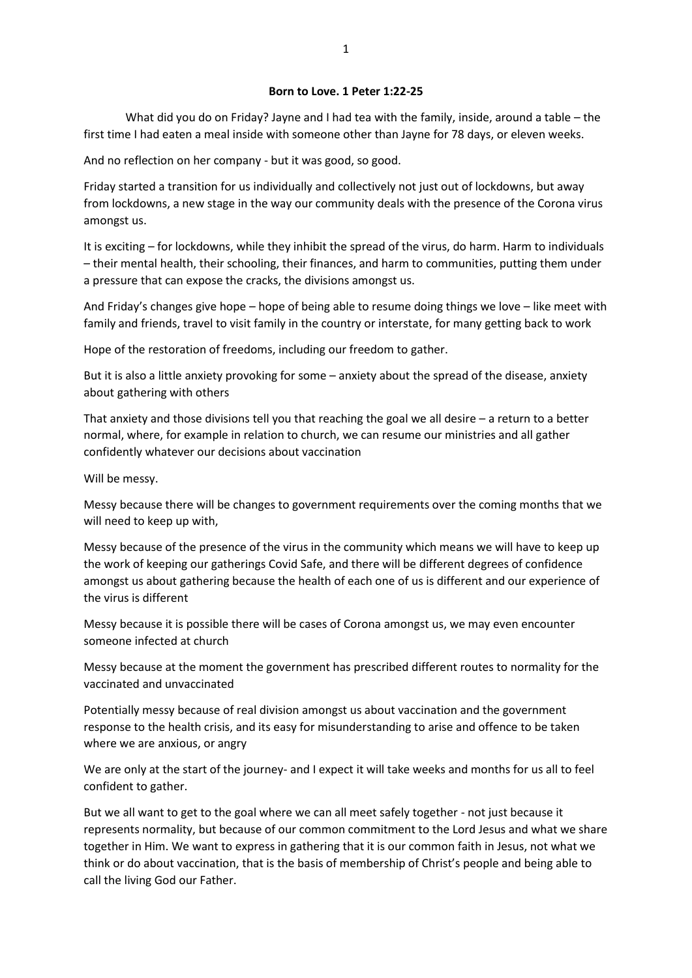#### **Born to Love. 1 Peter 1:22-25**

What did you do on Friday? Jayne and I had tea with the family, inside, around a table – the first time I had eaten a meal inside with someone other than Jayne for 78 days, or eleven weeks.

And no reflection on her company - but it was good, so good.

Friday started a transition for us individually and collectively not just out of lockdowns, but away from lockdowns, a new stage in the way our community deals with the presence of the Corona virus amongst us.

It is exciting – for lockdowns, while they inhibit the spread of the virus, do harm. Harm to individuals – their mental health, their schooling, their finances, and harm to communities, putting them under a pressure that can expose the cracks, the divisions amongst us.

And Friday's changes give hope – hope of being able to resume doing things we love – like meet with family and friends, travel to visit family in the country or interstate, for many getting back to work

Hope of the restoration of freedoms, including our freedom to gather.

But it is also a little anxiety provoking for some – anxiety about the spread of the disease, anxiety about gathering with others

That anxiety and those divisions tell you that reaching the goal we all desire  $-$  a return to a better normal, where, for example in relation to church, we can resume our ministries and all gather confidently whatever our decisions about vaccination

Will be messy.

Messy because there will be changes to government requirements over the coming months that we will need to keep up with,

Messy because of the presence of the virus in the community which means we will have to keep up the work of keeping our gatherings Covid Safe, and there will be different degrees of confidence amongst us about gathering because the health of each one of us is different and our experience of the virus is different

Messy because it is possible there will be cases of Corona amongst us, we may even encounter someone infected at church

Messy because at the moment the government has prescribed different routes to normality for the vaccinated and unvaccinated

Potentially messy because of real division amongst us about vaccination and the government response to the health crisis, and its easy for misunderstanding to arise and offence to be taken where we are anxious, or angry

We are only at the start of the journey- and I expect it will take weeks and months for us all to feel confident to gather.

But we all want to get to the goal where we can all meet safely together - not just because it represents normality, but because of our common commitment to the Lord Jesus and what we share together in Him. We want to express in gathering that it is our common faith in Jesus, not what we think or do about vaccination, that is the basis of membership of Christ's people and being able to call the living God our Father.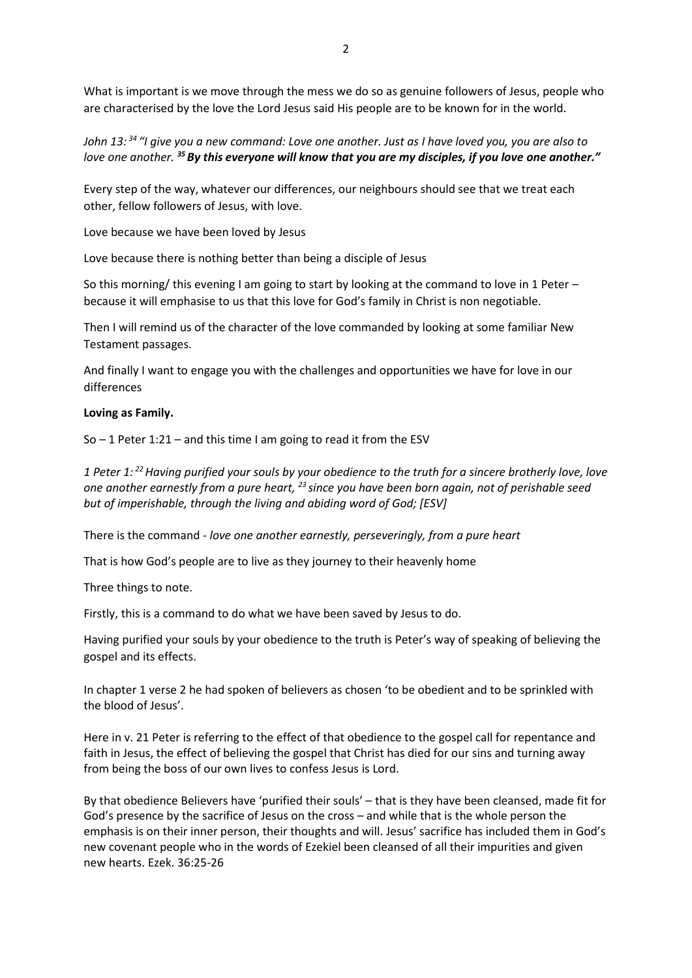What is important is we move through the mess we do so as genuine followers of Jesus, people who are characterised by the love the Lord Jesus said His people are to be known for in the world.

*John 13: <sup>34</sup> "I give you a new command: Love one another. Just as I have loved you, you are also to love one another. <sup>35</sup>By this everyone will know that you are my disciples, if you love one another."*

Every step of the way, whatever our differences, our neighbours should see that we treat each other, fellow followers of Jesus, with love.

Love because we have been loved by Jesus

Love because there is nothing better than being a disciple of Jesus

So this morning/ this evening I am going to start by looking at the command to love in 1 Peter because it will emphasise to us that this love for God's family in Christ is non negotiable.

Then I will remind us of the character of the love commanded by looking at some familiar New Testament passages.

And finally I want to engage you with the challenges and opportunities we have for love in our differences

#### **Loving as Family.**

So  $-$  1 Peter 1:21 – and this time I am going to read it from the ESV

*1 Peter 1: <sup>22</sup>Having purified your souls by your obedience to the truth for a sincere brotherly love, love one another earnestly from a pure heart, <sup>23</sup> since you have been born again, not of perishable seed but of imperishable, through the living and abiding word of God; [ESV]*

There is the command - *love one another earnestly, perseveringly, from a pure heart*

That is how God's people are to live as they journey to their heavenly home

Three things to note.

Firstly, this is a command to do what we have been saved by Jesus to do.

Having purified your souls by your obedience to the truth is Peter's way of speaking of believing the gospel and its effects.

In chapter 1 verse 2 he had spoken of believers as chosen 'to be obedient and to be sprinkled with the blood of Jesus'.

Here in v. 21 Peter is referring to the effect of that obedience to the gospel call for repentance and faith in Jesus, the effect of believing the gospel that Christ has died for our sins and turning away from being the boss of our own lives to confess Jesus is Lord.

By that obedience Believers have 'purified their souls' – that is they have been cleansed, made fit for God's presence by the sacrifice of Jesus on the cross – and while that is the whole person the emphasis is on their inner person, their thoughts and will. Jesus' sacrifice has included them in God's new covenant people who in the words of Ezekiel been cleansed of all their impurities and given new hearts. Ezek. 36:25-26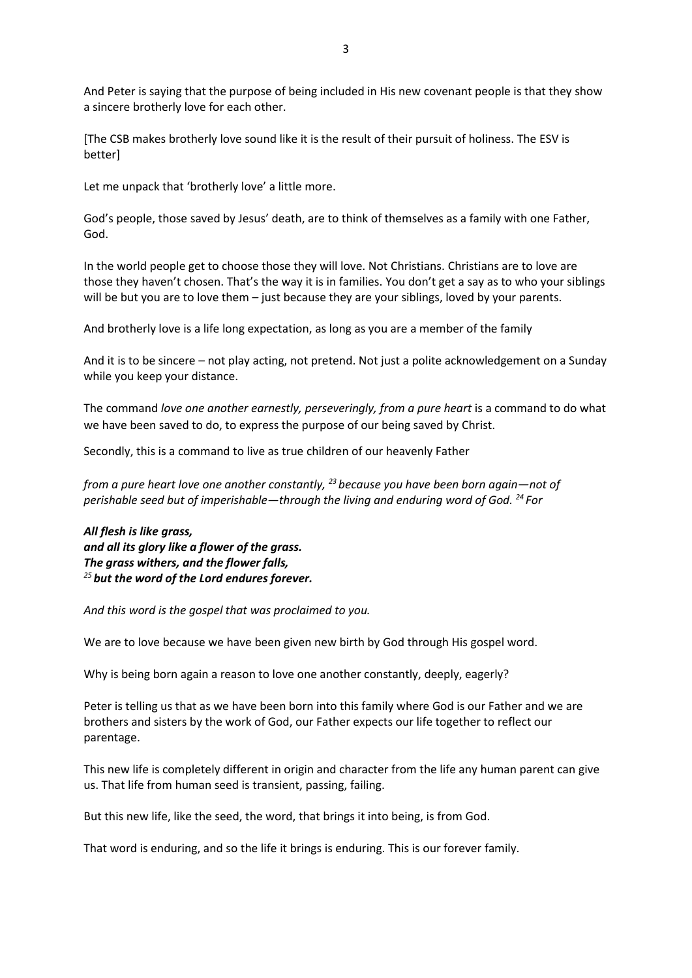And Peter is saying that the purpose of being included in His new covenant people is that they show a sincere brotherly love for each other.

[The CSB makes brotherly love sound like it is the result of their pursuit of holiness. The ESV is better]

Let me unpack that 'brotherly love' a little more.

God's people, those saved by Jesus' death, are to think of themselves as a family with one Father, God.

In the world people get to choose those they will love. Not Christians. Christians are to love are those they haven't chosen. That's the way it is in families. You don't get a say as to who your siblings will be but you are to love them - just because they are your siblings, loved by your parents.

And brotherly love is a life long expectation, as long as you are a member of the family

And it is to be sincere – not play acting, not pretend. Not just a polite acknowledgement on a Sunday while you keep your distance.

The command *love one another earnestly, perseveringly, from a pure heart* is a command to do what we have been saved to do, to express the purpose of our being saved by Christ.

Secondly, this is a command to live as true children of our heavenly Father

*from a pure heart love one another constantly, <sup>23</sup> because you have been born again—not of perishable seed but of imperishable—through the living and enduring word of God. <sup>24</sup> For*

*All flesh is like grass, and all its glory like a flower of the grass. The grass withers, and the flower falls, <sup>25</sup> but the word of the Lord endures forever.*

*And this word is the gospel that was proclaimed to you.*

We are to love because we have been given new birth by God through His gospel word.

Why is being born again a reason to love one another constantly, deeply, eagerly?

Peter is telling us that as we have been born into this family where God is our Father and we are brothers and sisters by the work of God, our Father expects our life together to reflect our parentage.

This new life is completely different in origin and character from the life any human parent can give us. That life from human seed is transient, passing, failing.

But this new life, like the seed, the word, that brings it into being, is from God.

That word is enduring, and so the life it brings is enduring. This is our forever family.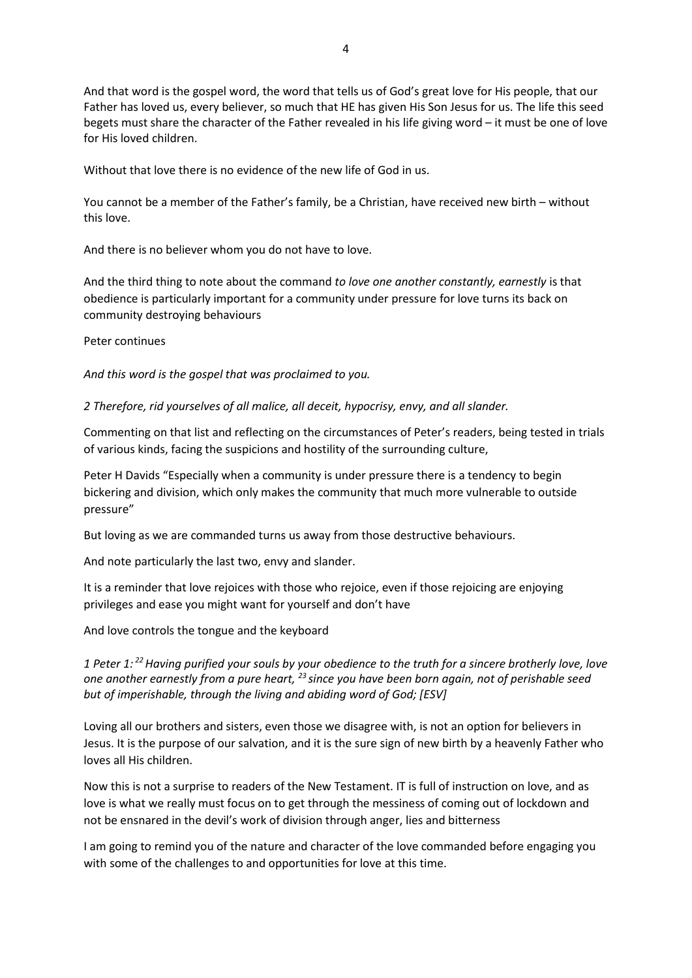And that word is the gospel word, the word that tells us of God's great love for His people, that our Father has loved us, every believer, so much that HE has given His Son Jesus for us. The life this seed begets must share the character of the Father revealed in his life giving word – it must be one of love for His loved children.

Without that love there is no evidence of the new life of God in us.

You cannot be a member of the Father's family, be a Christian, have received new birth – without this love.

And there is no believer whom you do not have to love.

And the third thing to note about the command *to love one another constantly, earnestly* is that obedience is particularly important for a community under pressure for love turns its back on community destroying behaviours

Peter continues

*And this word is the gospel that was proclaimed to you.*

*2 Therefore, rid yourselves of all malice, all deceit, hypocrisy, envy, and all slander.*

Commenting on that list and reflecting on the circumstances of Peter's readers, being tested in trials of various kinds, facing the suspicions and hostility of the surrounding culture,

Peter H Davids "Especially when a community is under pressure there is a tendency to begin bickering and division, which only makes the community that much more vulnerable to outside pressure"

But loving as we are commanded turns us away from those destructive behaviours.

And note particularly the last two, envy and slander.

It is a reminder that love rejoices with those who rejoice, even if those rejoicing are enjoying privileges and ease you might want for yourself and don't have

And love controls the tongue and the keyboard

*1 Peter 1: <sup>22</sup>Having purified your souls by your obedience to the truth for a sincere brotherly love, love one another earnestly from a pure heart, <sup>23</sup> since you have been born again, not of perishable seed but of imperishable, through the living and abiding word of God; [ESV]*

Loving all our brothers and sisters, even those we disagree with, is not an option for believers in Jesus. It is the purpose of our salvation, and it is the sure sign of new birth by a heavenly Father who loves all His children.

Now this is not a surprise to readers of the New Testament. IT is full of instruction on love, and as love is what we really must focus on to get through the messiness of coming out of lockdown and not be ensnared in the devil's work of division through anger, lies and bitterness

I am going to remind you of the nature and character of the love commanded before engaging you with some of the challenges to and opportunities for love at this time.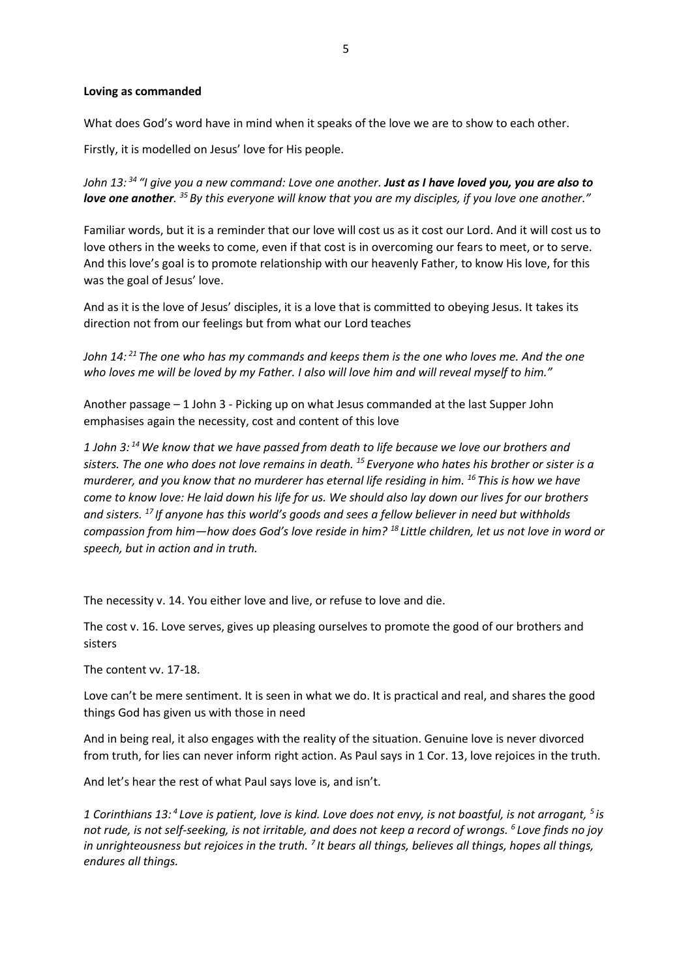#### **Loving as commanded**

What does God's word have in mind when it speaks of the love we are to show to each other.

Firstly, it is modelled on Jesus' love for His people.

*John 13: <sup>34</sup> "I give you a new command: Love one another. Just as I have loved you, you are also to love one another. <sup>35</sup> By this everyone will know that you are my disciples, if you love one another."*

Familiar words, but it is a reminder that our love will cost us as it cost our Lord. And it will cost us to love others in the weeks to come, even if that cost is in overcoming our fears to meet, or to serve. And this love's goal is to promote relationship with our heavenly Father, to know His love, for this was the goal of Jesus' love.

And as it is the love of Jesus' disciples, it is a love that is committed to obeying Jesus. It takes its direction not from our feelings but from what our Lord teaches

*John 14: <sup>21</sup> The one who has my commands and keeps them is the one who loves me. And the one*  who loves me will be loved by my Father. I also will love him and will reveal myself to him."

Another passage – 1 John 3 - Picking up on what Jesus commanded at the last Supper John emphasises again the necessity, cost and content of this love

*1 John 3: <sup>14</sup>We know that we have passed from death to life because we love our brothers and sisters. The one who does not love remains in death. <sup>15</sup> Everyone who hates his brother or sister is a murderer, and you know that no murderer has eternal life residing in him. <sup>16</sup> This is how we have come to know love: He laid down his life for us. We should also lay down our lives for our brothers and sisters. <sup>17</sup> If anyone has this world's goods and sees a fellow believer in need but withholds compassion from him—how does God's love reside in him? <sup>18</sup> Little children, let us not love in word or speech, but in action and in truth.*

The necessity v. 14. You either love and live, or refuse to love and die.

The cost v. 16. Love serves, gives up pleasing ourselves to promote the good of our brothers and sisters

The content vv. 17-18.

Love can't be mere sentiment. It is seen in what we do. It is practical and real, and shares the good things God has given us with those in need

And in being real, it also engages with the reality of the situation. Genuine love is never divorced from truth, for lies can never inform right action. As Paul says in 1 Cor. 13, love rejoices in the truth.

And let's hear the rest of what Paul says love is, and isn't.

1 Corinthians 13:<sup>4</sup> Love is patient, love is kind. Love does not envy, is not boastful, is not arrogant, <sup>5</sup> is *not rude, is not self-seeking, is not irritable, and does not keep a record of wrongs. <sup>6</sup> Love finds no joy*  in unrighteousness but rejoices in the truth.<sup>7</sup> It bears all things, believes all things, hopes all things, *endures all things.*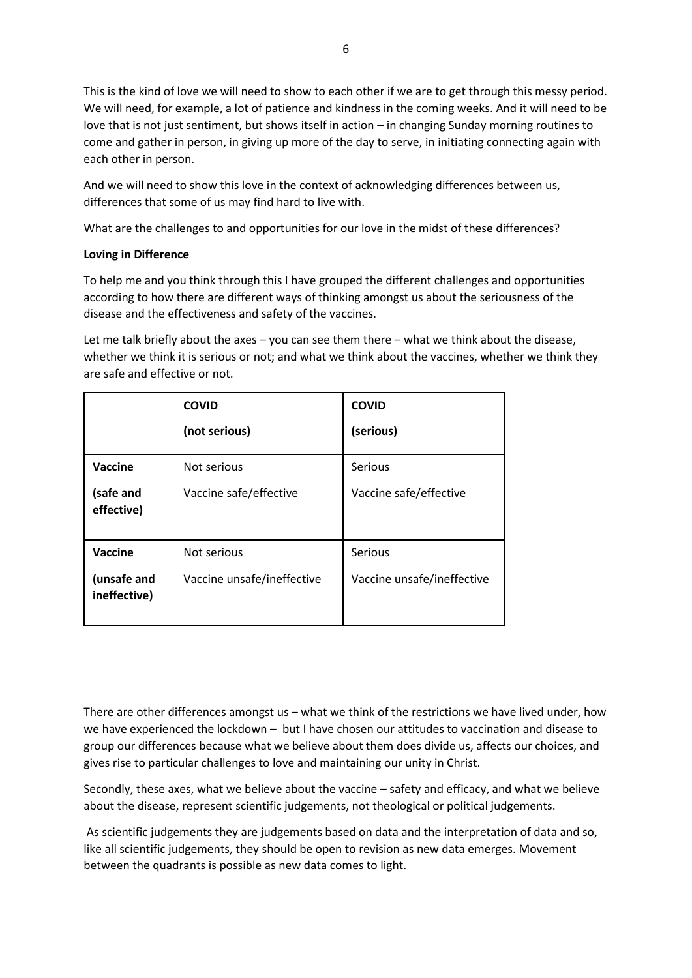This is the kind of love we will need to show to each other if we are to get through this messy period. We will need, for example, a lot of patience and kindness in the coming weeks. And it will need to be love that is not just sentiment, but shows itself in action – in changing Sunday morning routines to come and gather in person, in giving up more of the day to serve, in initiating connecting again with each other in person.

And we will need to show this love in the context of acknowledging differences between us, differences that some of us may find hard to live with.

What are the challenges to and opportunities for our love in the midst of these differences?

# **Loving in Difference**

To help me and you think through this I have grouped the different challenges and opportunities according to how there are different ways of thinking amongst us about the seriousness of the disease and the effectiveness and safety of the vaccines.

Let me talk briefly about the axes – you can see them there – what we think about the disease, whether we think it is serious or not; and what we think about the vaccines, whether we think they are safe and effective or not.

|                             | <b>COVID</b>               | <b>COVID</b>               |
|-----------------------------|----------------------------|----------------------------|
|                             | (not serious)              | (serious)                  |
| Vaccine                     | Not serious                | Serious                    |
| (safe and<br>effective)     | Vaccine safe/effective     | Vaccine safe/effective     |
| Vaccine                     | Not serious                | Serious                    |
| (unsafe and<br>ineffective) | Vaccine unsafe/ineffective | Vaccine unsafe/ineffective |

There are other differences amongst us – what we think of the restrictions we have lived under, how we have experienced the lockdown – but I have chosen our attitudes to vaccination and disease to group our differences because what we believe about them does divide us, affects our choices, and gives rise to particular challenges to love and maintaining our unity in Christ.

Secondly, these axes, what we believe about the vaccine – safety and efficacy, and what we believe about the disease, represent scientific judgements, not theological or political judgements.

As scientific judgements they are judgements based on data and the interpretation of data and so, like all scientific judgements, they should be open to revision as new data emerges. Movement between the quadrants is possible as new data comes to light.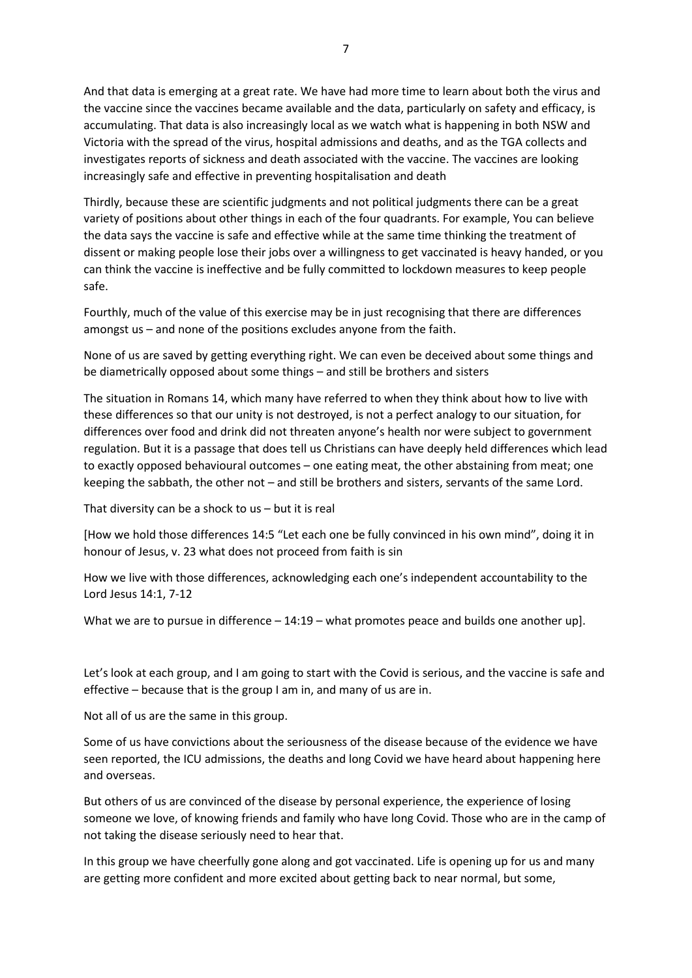And that data is emerging at a great rate. We have had more time to learn about both the virus and the vaccine since the vaccines became available and the data, particularly on safety and efficacy, is accumulating. That data is also increasingly local as we watch what is happening in both NSW and Victoria with the spread of the virus, hospital admissions and deaths, and as the TGA collects and investigates reports of sickness and death associated with the vaccine. The vaccines are looking increasingly safe and effective in preventing hospitalisation and death

Thirdly, because these are scientific judgments and not political judgments there can be a great variety of positions about other things in each of the four quadrants. For example, You can believe the data says the vaccine is safe and effective while at the same time thinking the treatment of dissent or making people lose their jobs over a willingness to get vaccinated is heavy handed, or you can think the vaccine is ineffective and be fully committed to lockdown measures to keep people safe.

Fourthly, much of the value of this exercise may be in just recognising that there are differences amongst us – and none of the positions excludes anyone from the faith.

None of us are saved by getting everything right. We can even be deceived about some things and be diametrically opposed about some things – and still be brothers and sisters

The situation in Romans 14, which many have referred to when they think about how to live with these differences so that our unity is not destroyed, is not a perfect analogy to our situation, for differences over food and drink did not threaten anyone's health nor were subject to government regulation. But it is a passage that does tell us Christians can have deeply held differences which lead to exactly opposed behavioural outcomes – one eating meat, the other abstaining from meat; one keeping the sabbath, the other not – and still be brothers and sisters, servants of the same Lord.

That diversity can be a shock to us – but it is real

[How we hold those differences 14:5 "Let each one be fully convinced in his own mind", doing it in honour of Jesus, v. 23 what does not proceed from faith is sin

How we live with those differences, acknowledging each one's independent accountability to the Lord Jesus 14:1, 7-12

What we are to pursue in difference – 14:19 – what promotes peace and builds one another up].

Let's look at each group, and I am going to start with the Covid is serious, and the vaccine is safe and effective – because that is the group I am in, and many of us are in.

Not all of us are the same in this group.

Some of us have convictions about the seriousness of the disease because of the evidence we have seen reported, the ICU admissions, the deaths and long Covid we have heard about happening here and overseas.

But others of us are convinced of the disease by personal experience, the experience of losing someone we love, of knowing friends and family who have long Covid. Those who are in the camp of not taking the disease seriously need to hear that.

In this group we have cheerfully gone along and got vaccinated. Life is opening up for us and many are getting more confident and more excited about getting back to near normal, but some,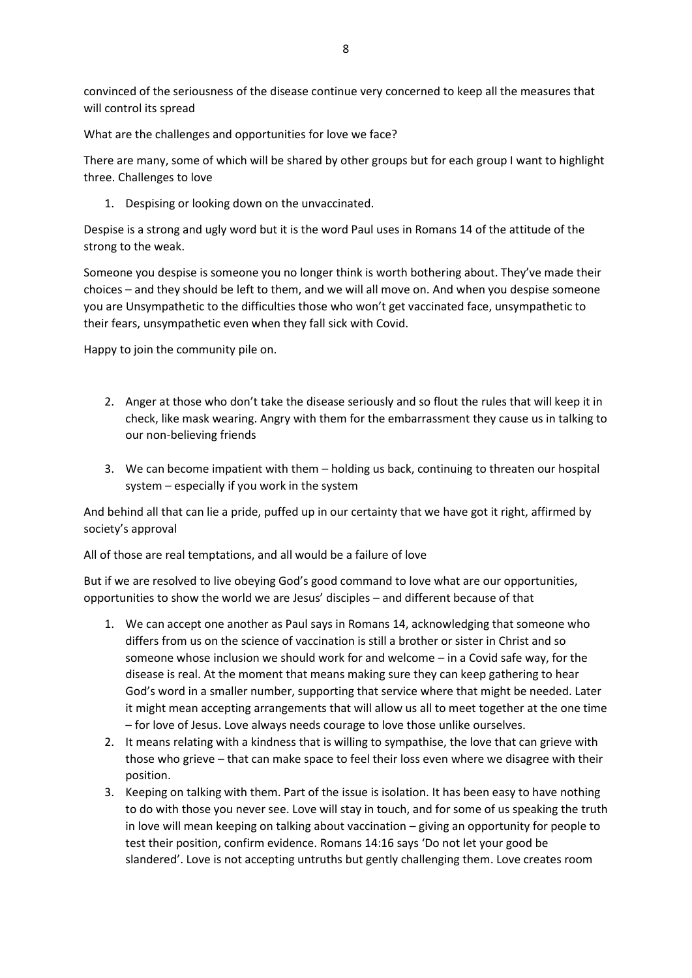convinced of the seriousness of the disease continue very concerned to keep all the measures that will control its spread

What are the challenges and opportunities for love we face?

There are many, some of which will be shared by other groups but for each group I want to highlight three. Challenges to love

1. Despising or looking down on the unvaccinated.

Despise is a strong and ugly word but it is the word Paul uses in Romans 14 of the attitude of the strong to the weak.

Someone you despise is someone you no longer think is worth bothering about. They've made their choices – and they should be left to them, and we will all move on. And when you despise someone you are Unsympathetic to the difficulties those who won't get vaccinated face, unsympathetic to their fears, unsympathetic even when they fall sick with Covid.

Happy to join the community pile on.

- 2. Anger at those who don't take the disease seriously and so flout the rules that will keep it in check, like mask wearing. Angry with them for the embarrassment they cause us in talking to our non-believing friends
- 3. We can become impatient with them holding us back, continuing to threaten our hospital system – especially if you work in the system

And behind all that can lie a pride, puffed up in our certainty that we have got it right, affirmed by society's approval

All of those are real temptations, and all would be a failure of love

But if we are resolved to live obeying God's good command to love what are our opportunities, opportunities to show the world we are Jesus' disciples – and different because of that

- 1. We can accept one another as Paul says in Romans 14, acknowledging that someone who differs from us on the science of vaccination is still a brother or sister in Christ and so someone whose inclusion we should work for and welcome – in a Covid safe way, for the disease is real. At the moment that means making sure they can keep gathering to hear God's word in a smaller number, supporting that service where that might be needed. Later it might mean accepting arrangements that will allow us all to meet together at the one time – for love of Jesus. Love always needs courage to love those unlike ourselves.
- 2. It means relating with a kindness that is willing to sympathise, the love that can grieve with those who grieve – that can make space to feel their loss even where we disagree with their position.
- 3. Keeping on talking with them. Part of the issue is isolation. It has been easy to have nothing to do with those you never see. Love will stay in touch, and for some of us speaking the truth in love will mean keeping on talking about vaccination – giving an opportunity for people to test their position, confirm evidence. Romans 14:16 says 'Do not let your good be slandered'. Love is not accepting untruths but gently challenging them. Love creates room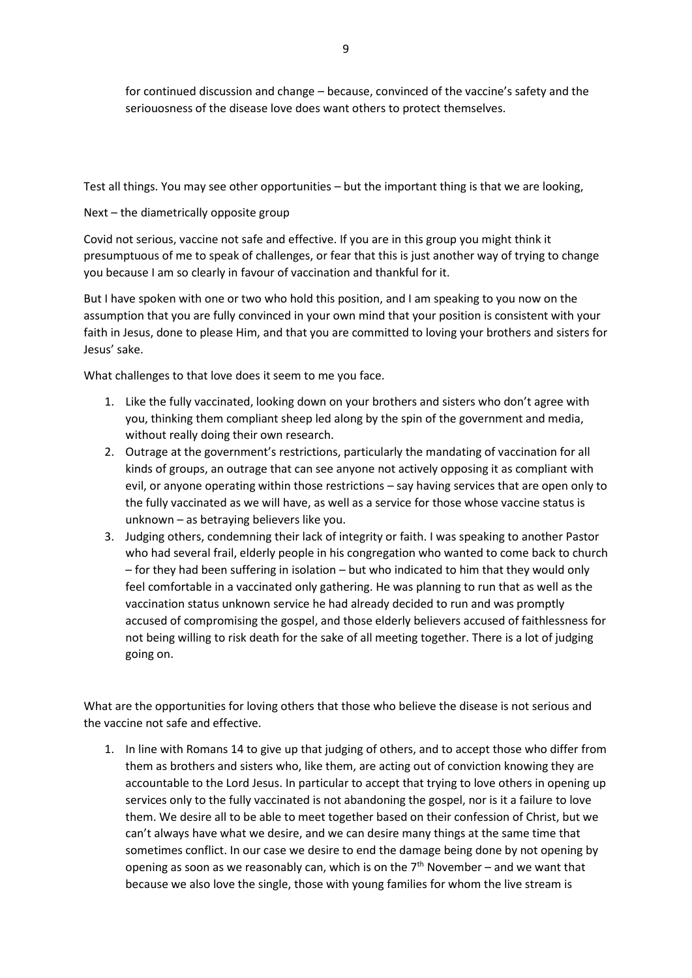for continued discussion and change – because, convinced of the vaccine's safety and the seriouosness of the disease love does want others to protect themselves.

Test all things. You may see other opportunities – but the important thing is that we are looking,

Next – the diametrically opposite group

Covid not serious, vaccine not safe and effective. If you are in this group you might think it presumptuous of me to speak of challenges, or fear that this is just another way of trying to change you because I am so clearly in favour of vaccination and thankful for it.

But I have spoken with one or two who hold this position, and I am speaking to you now on the assumption that you are fully convinced in your own mind that your position is consistent with your faith in Jesus, done to please Him, and that you are committed to loving your brothers and sisters for Jesus' sake.

What challenges to that love does it seem to me you face.

- 1. Like the fully vaccinated, looking down on your brothers and sisters who don't agree with you, thinking them compliant sheep led along by the spin of the government and media, without really doing their own research.
- 2. Outrage at the government's restrictions, particularly the mandating of vaccination for all kinds of groups, an outrage that can see anyone not actively opposing it as compliant with evil, or anyone operating within those restrictions – say having services that are open only to the fully vaccinated as we will have, as well as a service for those whose vaccine status is unknown – as betraying believers like you.
- 3. Judging others, condemning their lack of integrity or faith. I was speaking to another Pastor who had several frail, elderly people in his congregation who wanted to come back to church – for they had been suffering in isolation – but who indicated to him that they would only feel comfortable in a vaccinated only gathering. He was planning to run that as well as the vaccination status unknown service he had already decided to run and was promptly accused of compromising the gospel, and those elderly believers accused of faithlessness for not being willing to risk death for the sake of all meeting together. There is a lot of judging going on.

What are the opportunities for loving others that those who believe the disease is not serious and the vaccine not safe and effective.

1. In line with Romans 14 to give up that judging of others, and to accept those who differ from them as brothers and sisters who, like them, are acting out of conviction knowing they are accountable to the Lord Jesus. In particular to accept that trying to love others in opening up services only to the fully vaccinated is not abandoning the gospel, nor is it a failure to love them. We desire all to be able to meet together based on their confession of Christ, but we can't always have what we desire, and we can desire many things at the same time that sometimes conflict. In our case we desire to end the damage being done by not opening by opening as soon as we reasonably can, which is on the  $7<sup>th</sup>$  November – and we want that because we also love the single, those with young families for whom the live stream is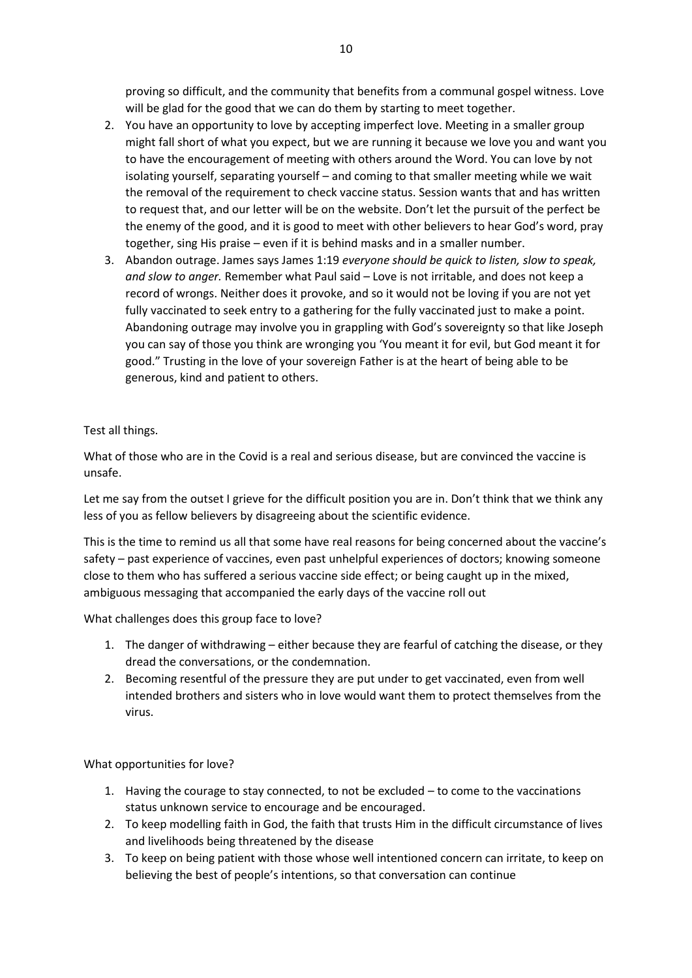proving so difficult, and the community that benefits from a communal gospel witness. Love will be glad for the good that we can do them by starting to meet together.

- 2. You have an opportunity to love by accepting imperfect love. Meeting in a smaller group might fall short of what you expect, but we are running it because we love you and want you to have the encouragement of meeting with others around the Word. You can love by not isolating yourself, separating yourself – and coming to that smaller meeting while we wait the removal of the requirement to check vaccine status. Session wants that and has written to request that, and our letter will be on the website. Don't let the pursuit of the perfect be the enemy of the good, and it is good to meet with other believers to hear God's word, pray together, sing His praise – even if it is behind masks and in a smaller number.
- 3. Abandon outrage. James says James 1:19 *everyone should be quick to listen, slow to speak, and slow to anger.* Remember what Paul said – Love is not irritable, and does not keep a record of wrongs. Neither does it provoke, and so it would not be loving if you are not yet fully vaccinated to seek entry to a gathering for the fully vaccinated just to make a point. Abandoning outrage may involve you in grappling with God's sovereignty so that like Joseph you can say of those you think are wronging you 'You meant it for evil, but God meant it for good." Trusting in the love of your sovereign Father is at the heart of being able to be generous, kind and patient to others.

# Test all things.

What of those who are in the Covid is a real and serious disease, but are convinced the vaccine is unsafe.

Let me say from the outset I grieve for the difficult position you are in. Don't think that we think any less of you as fellow believers by disagreeing about the scientific evidence.

This is the time to remind us all that some have real reasons for being concerned about the vaccine's safety – past experience of vaccines, even past unhelpful experiences of doctors; knowing someone close to them who has suffered a serious vaccine side effect; or being caught up in the mixed, ambiguous messaging that accompanied the early days of the vaccine roll out

What challenges does this group face to love?

- 1. The danger of withdrawing either because they are fearful of catching the disease, or they dread the conversations, or the condemnation.
- 2. Becoming resentful of the pressure they are put under to get vaccinated, even from well intended brothers and sisters who in love would want them to protect themselves from the virus.

# What opportunities for love?

- 1. Having the courage to stay connected, to not be excluded to come to the vaccinations status unknown service to encourage and be encouraged.
- 2. To keep modelling faith in God, the faith that trusts Him in the difficult circumstance of lives and livelihoods being threatened by the disease
- 3. To keep on being patient with those whose well intentioned concern can irritate, to keep on believing the best of people's intentions, so that conversation can continue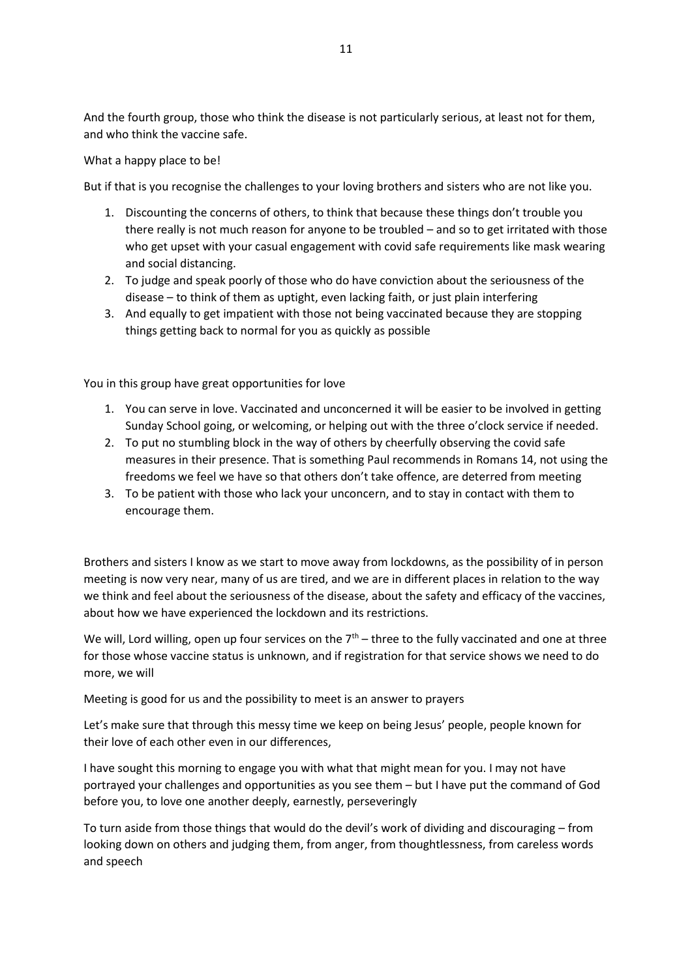And the fourth group, those who think the disease is not particularly serious, at least not for them, and who think the vaccine safe.

What a happy place to be!

But if that is you recognise the challenges to your loving brothers and sisters who are not like you.

- 1. Discounting the concerns of others, to think that because these things don't trouble you there really is not much reason for anyone to be troubled – and so to get irritated with those who get upset with your casual engagement with covid safe requirements like mask wearing and social distancing.
- 2. To judge and speak poorly of those who do have conviction about the seriousness of the disease – to think of them as uptight, even lacking faith, or just plain interfering
- 3. And equally to get impatient with those not being vaccinated because they are stopping things getting back to normal for you as quickly as possible

You in this group have great opportunities for love

- 1. You can serve in love. Vaccinated and unconcerned it will be easier to be involved in getting Sunday School going, or welcoming, or helping out with the three o'clock service if needed.
- 2. To put no stumbling block in the way of others by cheerfully observing the covid safe measures in their presence. That is something Paul recommends in Romans 14, not using the freedoms we feel we have so that others don't take offence, are deterred from meeting
- 3. To be patient with those who lack your unconcern, and to stay in contact with them to encourage them.

Brothers and sisters I know as we start to move away from lockdowns, as the possibility of in person meeting is now very near, many of us are tired, and we are in different places in relation to the way we think and feel about the seriousness of the disease, about the safety and efficacy of the vaccines, about how we have experienced the lockdown and its restrictions.

We will, Lord willing, open up four services on the  $7<sup>th</sup>$  – three to the fully vaccinated and one at three for those whose vaccine status is unknown, and if registration for that service shows we need to do more, we will

Meeting is good for us and the possibility to meet is an answer to prayers

Let's make sure that through this messy time we keep on being Jesus' people, people known for their love of each other even in our differences,

I have sought this morning to engage you with what that might mean for you. I may not have portrayed your challenges and opportunities as you see them – but I have put the command of God before you, to love one another deeply, earnestly, perseveringly

To turn aside from those things that would do the devil's work of dividing and discouraging – from looking down on others and judging them, from anger, from thoughtlessness, from careless words and speech